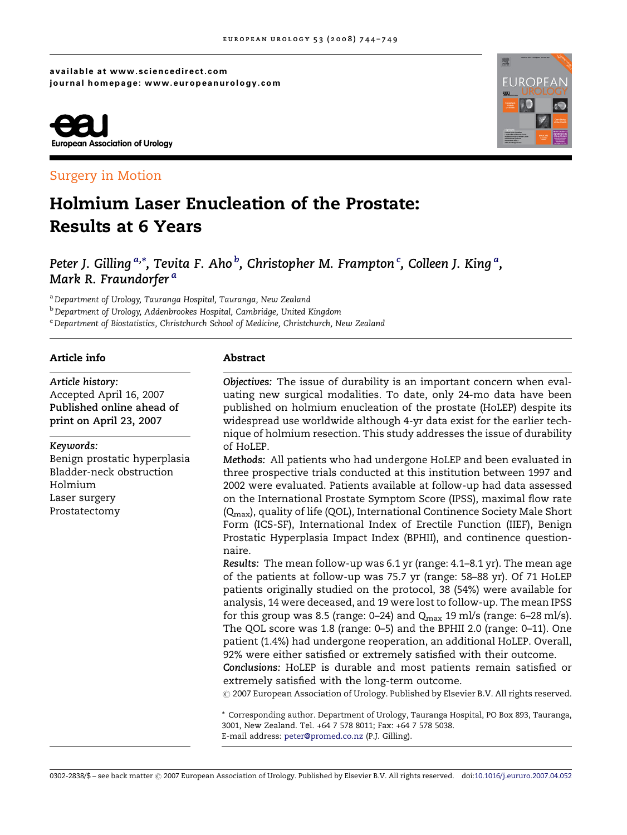available at www.sciencedirect.com journal homepage: www.europeanurology.com



## Surgery in Motion

# Holmium Laser Enucleation of the Prostate: Results at 6 Years

Peter J. Gilling <sup>a,</sup>\*, Tevita F. Aho <sup>b</sup>, Christopher M. Frampton <sup>c</sup>, Colleen J. King <sup>a</sup>, Mark R. Fraundorfer<sup>a</sup>

a Department of Urology, Tauranga Hospital, Tauranga, New Zealand

**b** Department of Urology, Addenbrookes Hospital, Cambridge, United Kingdom

<sup>c</sup> Department of Biostatistics, Christchurch School of Medicine, Christchurch, New Zealand

### Article info

Article history: Accepted April 16, 2007 Published online ahead of print on April 23, 2007

#### Keywords:

Benign prostatic hyperplasia Bladder-neck obstruction Holmium Laser surgery Prostatectomy

#### Abstract

Objectives: The issue of durability is an important concern when evaluating new surgical modalities. To date, only 24-mo data have been published on holmium enucleation of the prostate (HoLEP) despite its widespread use worldwide although 4-yr data exist for the earlier technique of holmium resection. This study addresses the issue of durability of HoLEP.

Methods: All patients who had undergone HoLEP and been evaluated in three prospective trials conducted at this institution between 1997 and 2002 were evaluated. Patients available at follow-up had data assessed on the International Prostate Symptom Score (IPSS), maximal flow rate (Qmax), quality of life (QOL), International Continence Society Male Short Form (ICS-SF), International Index of Erectile Function (IIEF), Benign Prostatic Hyperplasia Impact Index (BPHII), and continence questionnaire.

Results: The mean follow-up was 6.1 yr (range: 4.1–8.1 yr). The mean age of the patients at follow-up was 75.7 yr (range: 58–88 yr). Of 71 HoLEP patients originally studied on the protocol, 38 (54%) were available for analysis, 14 were deceased, and 19 were lost to follow-up. The mean IPSS for this group was 8.5 (range: 0–24) and  $Q_{\text{max}}$  19 ml/s (range: 6–28 ml/s). The QOL score was 1.8 (range: 0–5) and the BPHII 2.0 (range: 0–11). One patient (1.4%) had undergone reoperation, an additional HoLEP. Overall, 92% were either satisfied or extremely satisfied with their outcome.

Conclusions: HoLEP is durable and most patients remain satisfied or extremely satisfied with the long-term outcome.

 $\odot$  2007 European Association of Urology. Published by Elsevier B.V. All rights reserved.

\* Corresponding author. Department of Urology, Tauranga Hospital, PO Box 893, Tauranga, 3001, New Zealand. Tel. +64 7 578 8011; Fax: +64 7 578 5038. E-mail address: [peter@promed.co.nz](mailto:peter@promed.co.nz) (P.J. Gilling).



0302-2838/\$ - see back matter @ 2007 European Association of Urology. Published by Elsevier B.V. All rights reserved. doi:[10.1016/j.eururo.2007.04.052](http://dx.doi.org/10.1016/j.eururo.2007.04.052)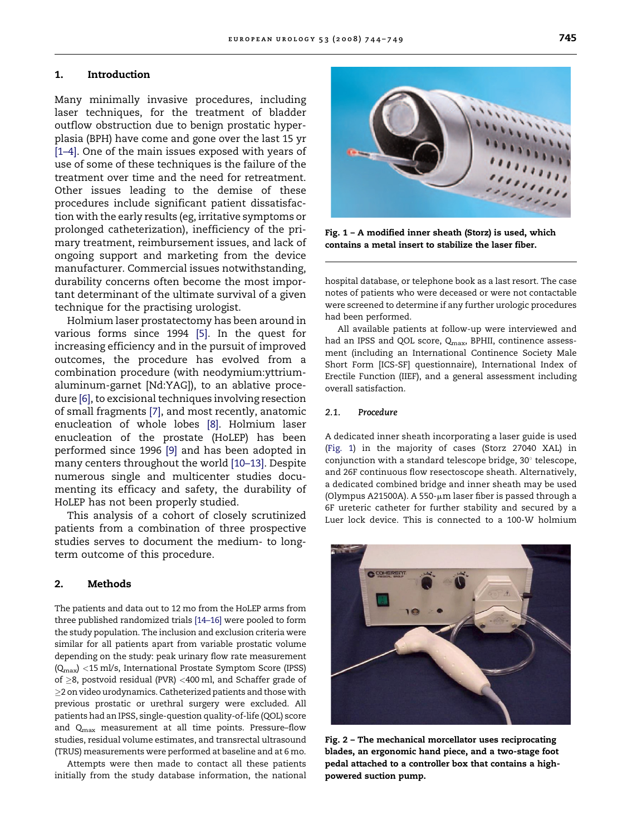#### <span id="page-1-0"></span>1. Introduction

Many minimally invasive procedures, including laser techniques, for the treatment of bladder outflow obstruction due to benign prostatic hyperplasia (BPH) have come and gone over the last 15 yr [\[1–4\].](#page-4-0) One of the main issues exposed with years of use of some of these techniques is the failure of the treatment over time and the need for retreatment. Other issues leading to the demise of these procedures include significant patient dissatisfaction with the early results (eg, irritative symptoms or prolonged catheterization), inefficiency of the primary treatment, reimbursement issues, and lack of ongoing support and marketing from the device manufacturer. Commercial issues notwithstanding, durability concerns often become the most important determinant of the ultimate survival of a given technique for the practising urologist.

Holmium laser prostatectomy has been around in various forms since 1994 [\[5\]](#page-4-0). In the quest for increasing efficiency and in the pursuit of improved outcomes, the procedure has evolved from a combination procedure (with neodymium:yttriumaluminum-garnet [Nd:YAG]), to an ablative procedure [\[6\]](#page-4-0), to excisional techniques involving resection of small fragments [\[7\],](#page-4-0) and most recently, anatomic enucleation of whole lobes [\[8\].](#page-4-0) Holmium laser enucleation of the prostate (HoLEP) has been performed since 1996 [\[9\]](#page-4-0) and has been adopted in many centers throughout the world [\[10–13\].](#page-4-0) Despite numerous single and multicenter studies documenting its efficacy and safety, the durability of HoLEP has not been properly studied.

This analysis of a cohort of closely scrutinized patients from a combination of three prospective studies serves to document the medium- to longterm outcome of this procedure.

#### 2. Methods

The patients and data out to 12 mo from the HoLEP arms from three published randomized trials [\[14–16\]](#page-4-0) were pooled to form the study population. The inclusion and exclusion criteria were similar for all patients apart from variable prostatic volume depending on the study: peak urinary flow rate measurement (Qmax) <15 ml/s, International Prostate Symptom Score (IPSS) of ≥8, postvoid residual (PVR) <400 ml, and Schaffer grade of  $\geq$ 2 on video urodynamics. Catheterized patients and those with previous prostatic or urethral surgery were excluded. All patients had an IPSS, single-question quality-of-life (QOL) score and Qmax measurement at all time points. Pressure–flow studies, residual volume estimates, and transrectal ultrasound (TRUS) measurements were performed at baseline and at 6 mo.

Attempts were then made to contact all these patients initially from the study database information, the national

Fig. 1 – A modified inner sheath (Storz) is used, which contains a metal insert to stabilize the laser fiber.

hospital database, or telephone book as a last resort. The case notes of patients who were deceased or were not contactable were screened to determine if any further urologic procedures had been performed.

All available patients at follow-up were interviewed and had an IPSS and QOL score, Q<sub>max</sub>, BPHII, continence assessment (including an International Continence Society Male Short Form [ICS-SF] questionnaire), International Index of Erectile Function (IIEF), and a general assessment including overall satisfaction.

#### 2.1. Procedure

A dedicated inner sheath incorporating a laser guide is used (Fig. 1) in the majority of cases (Storz 27040 XAL) in conjunction with a standard telescope bridge, 30° telescope, and 26F continuous flow resectoscope sheath. Alternatively, a dedicated combined bridge and inner sheath may be used (Olympus A21500A). A 550- $\mu$ m laser fiber is passed through a 6F ureteric catheter for further stability and secured by a Luer lock device. This is connected to a 100-W holmium



Fig. 2 – The mechanical morcellator uses reciprocating blades, an ergonomic hand piece, and a two-stage foot pedal attached to a controller box that contains a highpowered suction pump.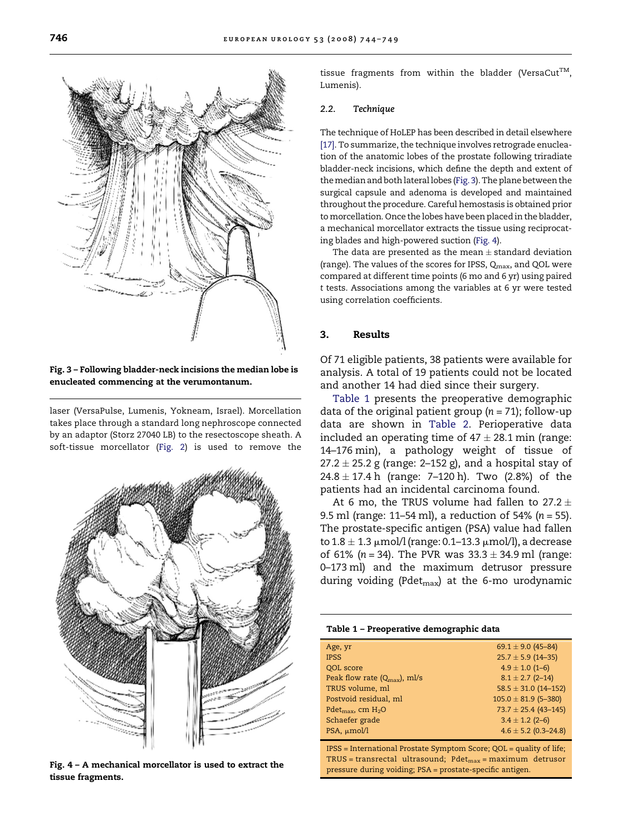Fig. 3 – Following bladder-neck incisions the median lobe is enucleated commencing at the verumontanum.

laser (VersaPulse, Lumenis, Yokneam, Israel). Morcellation takes place through a standard long nephroscope connected by an adaptor (Storz 27040 LB) to the resectoscope sheath. A soft-tissue morcellator ([Fig. 2\)](#page-1-0) is used to remove the tissue fragments from within the bladder (VersaCut<sup>TM</sup>, Lumenis).

#### 2.2. Technique

The technique of HoLEP has been described in detail elsewhere [\[17\].](#page-4-0) To summarize, the technique involves retrograde enucleation of the anatomic lobes of the prostate following triradiate bladder-neck incisions, which define the depth and extent of themedian and both lateral lobes (Fig. 3). The plane between the surgical capsule and adenoma is developed and maintained throughout the procedure. Careful hemostasis is obtained prior to morcellation. Once the lobes have been placed in the bladder, a mechanical morcellator extracts the tissue using reciprocating blades and high-powered suction (Fig. 4).

The data are presented as the mean  $\pm$  standard deviation (range). The values of the scores for IPSS, Q<sub>max</sub>, and QOL were compared at different time points (6 mo and 6 yr) using paired t tests. Associations among the variables at 6 yr were tested using correlation coefficients.

#### 3. Results

Of 71 eligible patients, 38 patients were available for analysis. A total of 19 patients could not be located and another 14 had died since their surgery.

Table 1 presents the preoperative demographic data of the original patient group ( $n = 71$ ); follow-up data are shown in [Table 2](#page-3-0). Perioperative data included an operating time of  $47 \pm 28.1$  min (range: 14–176 min), a pathology weight of tissue of  $27.2 \pm 25.2$  g (range: 2–152 g), and a hospital stay of  $24.8 \pm 17.4$  h (range: 7–120 h). Two (2.8%) of the patients had an incidental carcinoma found.

At 6 mo, the TRUS volume had fallen to 27.2  $\pm$ 9.5 ml (range: 11–54 ml), a reduction of 54% ( $n = 55$ ). The prostate-specific antigen (PSA) value had fallen to  $1.8 \pm 1.3 \mu$ mol/l (range: 0.1–13.3  $\mu$ mol/l), a decrease of 61% (n = 34). The PVR was  $33.3 \pm 34.9$  ml (range: 0–173 ml) and the maximum detrusor pressure during voiding (Pdet<sub>max</sub>) at the 6-mo urodynamic

|  |  | Table 1 - Preoperative demographic data |  |  |
|--|--|-----------------------------------------|--|--|
|--|--|-----------------------------------------|--|--|

| Age, yr                                  | 69.1 $\pm$ 9.0 (45-84)   |  |  |
|------------------------------------------|--------------------------|--|--|
| <b>IPSS</b>                              | $25.7 \pm 5.9$ (14-35)   |  |  |
| QOL score                                | $4.9 \pm 1.0$ (1-6)      |  |  |
| Peak flow rate $(Q_{\text{max}})$ , ml/s | $8.1 \pm 2.7$ (2-14)     |  |  |
| TRUS volume, ml                          | $58.5 \pm 31.0$ (14-152) |  |  |
| Postvoid residual, ml                    | $105.0 \pm 81.9$ (5-380) |  |  |
| Pdet <sub>max</sub> , cm $H_2O$          | $73.7 \pm 25.4$ (43-145) |  |  |
| Schaefer grade                           | $3.4 \pm 1.2$ (2-6)      |  |  |
| PSA, µmol/l                              | $4.6 \pm 5.2$ (0.3-24.8) |  |  |

IPSS = International Prostate Symptom Score; QOL = quality of life;  $TRUS = transrectal$  ultrasound; Pdet<sub>max</sub> = maximum detrusor pressure during voiding; PSA = prostate-specific antigen.

Fig. 4 – A mechanical morcellator is used to extract the tissue fragments.



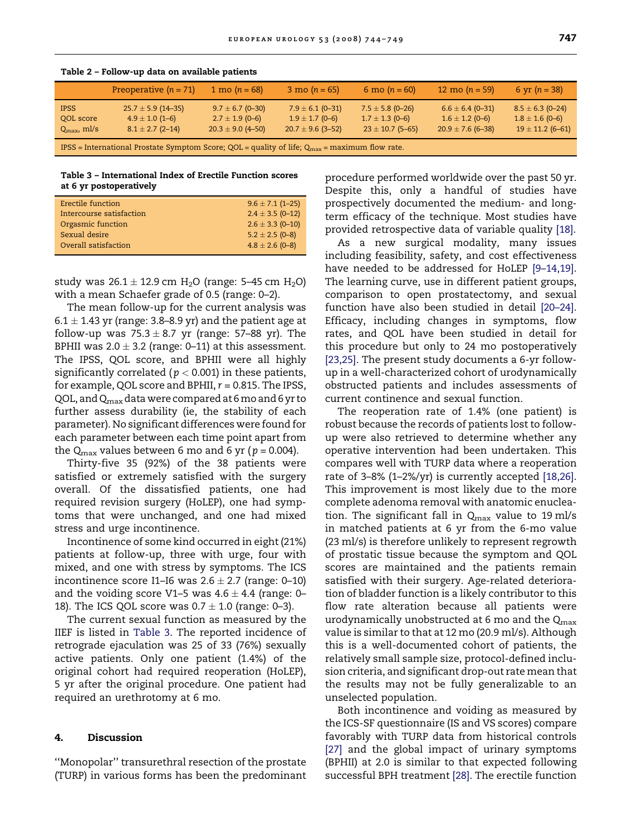|                                                                                                           | Preoperative $(n = 71)$                                               | 1 mo $(n = 68)$                                                      | 3 mo ( $n = 65$ )                                                    | 6 mo ( $n = 60$ )                                                   | 12 mo $(n = 59)$                                                     | 6 yr $(n = 38)$                                                     |
|-----------------------------------------------------------------------------------------------------------|-----------------------------------------------------------------------|----------------------------------------------------------------------|----------------------------------------------------------------------|---------------------------------------------------------------------|----------------------------------------------------------------------|---------------------------------------------------------------------|
| <b>IPSS</b><br>QOL score<br>$Q_{\rm max}$ , ml/s                                                          | $25.7 \pm 5.9$ (14-35)<br>$4.9 \pm 1.0$ (1-6)<br>$8.1 \pm 2.7$ (2-14) | $9.7 \pm 6.7$ (0-30)<br>$2.7 \pm 1.9$ (0-6)<br>$20.3 \pm 9.0$ (4-50) | $7.9 \pm 6.1$ (0-31)<br>$1.9 \pm 1.7$ (0-6)<br>$20.7 \pm 9.6$ (3-52) | $7.5 \pm 5.8$ (0-26)<br>$1.7 \pm 1.3$ (0-6)<br>$23 \pm 10.7$ (5-65) | $6.6 \pm 6.4$ (0-31)<br>$1.6 \pm 1.2$ (0-6)<br>$20.9 \pm 7.6$ (6-38) | $8.5 \pm 6.3$ (0-24)<br>$1.8 \pm 1.6$ (0-6)<br>$19 \pm 11.2$ (6-61) |
| IPSS = International Prostate Symptom Score; QOL = quality of life; $Q_{\text{max}}$ = maximum flow rate. |                                                                       |                                                                      |                                                                      |                                                                     |                                                                      |                                                                     |

<span id="page-3-0"></span>Table 2 – Follow-up data on available patients

Table 3 – International Index of Erectile Function scores at 6 yr postoperatively

| Erectile function        | $9.6 \pm 7.1$ (1-25) |
|--------------------------|----------------------|
| Intercourse satisfaction | $2.4 \pm 3.5$ (0-12) |
| Orgasmic function        | $2.6 \pm 3.3$ (0-10) |
| Sexual desire            | $5.2 \pm 2.5$ (0-8)  |
| Overall satisfaction     | $4.8 \pm 2.6$ (0-8)  |
|                          |                      |

study was  $26.1 \pm 12.9$  cm H<sub>2</sub>O (range: 5–45 cm H<sub>2</sub>O) with a mean Schaefer grade of 0.5 (range: 0–2).

The mean follow-up for the current analysis was  $6.1 \pm 1.43$  yr (range: 3.8–8.9 yr) and the patient age at follow-up was  $75.3 \pm 8.7$  yr (range: 57–88 yr). The BPHII was  $2.0 \pm 3.2$  (range: 0-11) at this assessment. The IPSS, QOL score, and BPHII were all highly significantly correlated ( $p < 0.001$ ) in these patients, for example, QOL score and BPHII,  $r = 0.815$ . The IPSS, QOL, and  $Q_{\text{max}}$  data were compared at 6 mo and 6 yr to further assess durability (ie, the stability of each parameter). No significant differences were found for each parameter between each time point apart from the  $Q_{\text{max}}$  values between 6 mo and 6 yr ( $p = 0.004$ ).

Thirty-five 35 (92%) of the 38 patients were satisfied or extremely satisfied with the surgery overall. Of the dissatisfied patients, one had required revision surgery (HoLEP), one had symptoms that were unchanged, and one had mixed stress and urge incontinence.

Incontinence of some kind occurred in eight (21%) patients at follow-up, three with urge, four with mixed, and one with stress by symptoms. The ICS incontinence score I1–I6 was  $2.6 \pm 2.7$  (range: 0–10) and the voiding score V1–5 was  $4.6 \pm 4.4$  (range: 0– 18). The ICS QOL score was  $0.7 \pm 1.0$  (range: 0–3).

The current sexual function as measured by the IIEF is listed in Table 3. The reported incidence of retrograde ejaculation was 25 of 33 (76%) sexually active patients. Only one patient (1.4%) of the original cohort had required reoperation (HoLEP), 5 yr after the original procedure. One patient had required an urethrotomy at 6 mo.

#### 4. Discussion

''Monopolar'' transurethral resection of the prostate (TURP) in various forms has been the predominant

procedure performed worldwide over the past 50 yr. Despite this, only a handful of studies have prospectively documented the medium- and longterm efficacy of the technique. Most studies have provided retrospective data of variable quality [\[18\].](#page-4-0)

As a new surgical modality, many issues including feasibility, safety, and cost effectiveness have needed to be addressed for HoLEP [\[9–14,19\]](#page-4-0). The learning curve, use in different patient groups, comparison to open prostatectomy, and sexual function have also been studied in detail [\[20–24\]](#page-5-0). Efficacy, including changes in symptoms, flow rates, and QOL have been studied in detail for this procedure but only to 24 mo postoperatively [\[23,25\]](#page-5-0). The present study documents a 6-yr followup in a well-characterized cohort of urodynamically obstructed patients and includes assessments of current continence and sexual function.

The reoperation rate of 1.4% (one patient) is robust because the records of patients lost to followup were also retrieved to determine whether any operative intervention had been undertaken. This compares well with TURP data where a reoperation rate of 3–8% (1–2%/yr) is currently accepted [\[18,26\]](#page-4-0). This improvement is most likely due to the more complete adenoma removal with anatomic enucleation. The significant fall in  $Q_{\text{max}}$  value to 19 ml/s in matched patients at 6 yr from the 6-mo value (23 ml/s) is therefore unlikely to represent regrowth of prostatic tissue because the symptom and QOL scores are maintained and the patients remain satisfied with their surgery. Age-related deterioration of bladder function is a likely contributor to this flow rate alteration because all patients were urodynamically unobstructed at 6 mo and the  $Q_{\text{max}}$ value is similar to that at 12 mo (20.9 ml/s). Although this is a well-documented cohort of patients, the relatively small sample size, protocol-defined inclusion criteria, and significant drop-out rate mean that the results may not be fully generalizable to an unselected population.

Both incontinence and voiding as measured by the ICS-SF questionnaire (IS and VS scores) compare favorably with TURP data from historical controls [\[27\]](#page-5-0) and the global impact of urinary symptoms (BPHII) at 2.0 is similar to that expected following successful BPH treatment [\[28\]](#page-5-0). The erectile function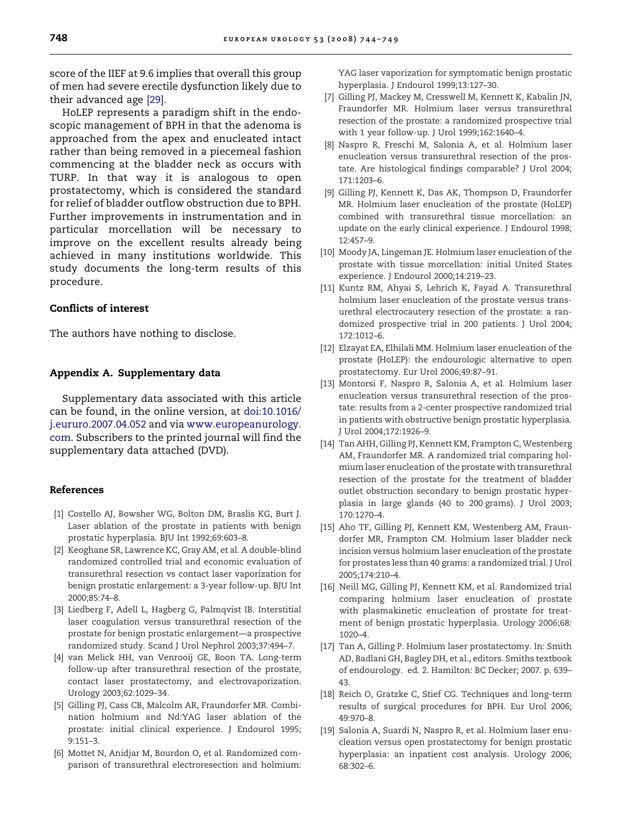<span id="page-4-0"></span>score of the IIEF at 9.6 implies that overall this group of men had severe erectile dysfunction likely due to their advanced age [\[29\].](#page-5-0)

HoLEP represents a paradigm shift in the endoscopic management of BPH in that the adenoma is approached from the apex and enucleated intact rather than being removed in a piecemeal fashion commencing at the bladder neck as occurs with TURP. In that way it is analogous to open prostatectomy, which is considered the standard for relief of bladder outflow obstruction due to BPH. Further improvements in instrumentation and in particular morcellation will be necessary to improve on the excellent results already being achieved in many institutions worldwide. This study documents the long-term results of this procedure.

#### Conflicts of interest

The authors have nothing to disclose.

#### Appendix A. Supplementary data

Supplementary data associated with this article can be found, in the online version, at [doi:10.1016/](http://dx.doi.org/10.1016/j.eururo.2007.04.052) [j.eururo.2007.04.052](http://dx.doi.org/10.1016/j.eururo.2007.04.052) and via [www.europeanurology.](http://www.europeanurology.com/) [com](http://www.europeanurology.com/). Subscribers to the printed journal will find the supplementary data attached (DVD).

### References

- [1] Costello AJ, Bowsher WG, Bolton DM, Braslis KG, Burt J. Laser ablation of the prostate in patients with benign prostatic hyperplasia. BJU Int 1992;69:603–8.
- [2] Keoghane SR, Lawrence KC, Gray AM, et al. A double-blind randomized controlled trial and economic evaluation of transurethral resection vs contact laser vaporization for benign prostatic enlargement: a 3-year follow-up. BJU Int 2000;85:74–8.
- [3] Liedberg F, Adell L, Hagberg G, Palmqvist IB. Interstitial laser coagulation versus transurethral resection of the prostate for benign prostatic enlargement—a prospective randomized study. Scand J Urol Nephrol 2003;37:494–7.
- [4] van Melick HH, van Venrooij GE, Boon TA. Long-term follow-up after transurethral resection of the prostate, contact laser prostatectomy, and electrovaporization. Urology 2003;62:1029–34.
- [5] Gilling PJ, Cass CB, Malcolm AR, Fraundorfer MR. Combination holmium and Nd:YAG laser ablation of the prostate: initial clinical experience. J Endourol 1995; 9:151–3.
- [6] Mottet N, Anidjar M, Bourdon O, et al. Randomized comparison of transurethral electroresection and holmium:

YAG laser vaporization for symptomatic benign prostatic hyperplasia. J Endourol 1999;13:127–30.

- [7] Gilling PJ, Mackey M, Cresswell M, Kennett K, Kabalin JN, Fraundorfer MR. Holmium laser versus transurethral resection of the prostate: a randomized prospective trial with 1 year follow-up. J Urol 1999;162:1640–4.
- [8] Naspro R, Freschi M, Salonia A, et al. Holmium laser enucleation versus transurethral resection of the prostate. Are histological findings comparable? J Urol 2004; 171:1203–6.
- [9] Gilling PJ, Kennett K, Das AK, Thompson D, Fraundorfer MR. Holmium laser enucleation of the prostate (HoLEP) combined with transurethral tissue morcellation: an update on the early clinical experience. J Endourol 1998; 12:457–9.
- [10] Moody JA, Lingeman JE. Holmium laser enucleation of the prostate with tissue morcellation: initial United States experience. J Endourol 2000;14:219–23.
- [11] Kuntz RM, Ahyai S, Lehrich K, Fayad A. Transurethral holmium laser enucleation of the prostate versus transurethral electrocautery resection of the prostate: a randomized prospective trial in 200 patients. J Urol 2004; 172:1012–6.
- [12] Elzayat EA, Elhilali MM. Holmium laser enucleation of the prostate (HoLEP): the endourologic alternative to open prostatectomy. Eur Urol 2006;49:87–91.
- [13] Montorsi F, Naspro R, Salonia A, et al. Holmium laser enucleation versus transurethral resection of the prostate: results from a 2-center prospective randomized trial in patients with obstructive benign prostatic hyperplasia. J Urol 2004;172:1926–9.
- [14] Tan AHH, Gilling PJ, Kennett KM, Frampton C, Westenberg AM, Fraundorfer MR. A randomized trial comparing holmium laser enucleation of the prostate with transurethral resection of the prostate for the treatment of bladder outlet obstruction secondary to benign prostatic hyperplasia in large glands (40 to 200 grams). J Urol 2003; 170:1270–4.
- [15] Aho TF, Gilling PJ, Kennett KM, Westenberg AM, Fraundorfer MR, Frampton CM. Holmium laser bladder neck incision versus holmium laser enucleation of the prostate for prostates less than 40 grams: a randomized trial. J Urol 2005;174:210–4.
- [16] Neill MG, Gilling PJ, Kennett KM, et al. Randomized trial comparing holmium laser enucleation of prostate with plasmakinetic enucleation of prostate for treatment of benign prostatic hyperplasia. Urology 2006;68: 1020–4.
- [17] Tan A, Gilling P. Holmium laser prostatectomy. In: Smith AD, Badlani GH, Bagley DH, et al., editors. Smiths textbook of endourology. ed. 2. Hamilton: BC Decker; 2007. p. 639– 43.
- [18] Reich O, Gratzke C, Stief CG. Techniques and long-term results of surgical procedures for BPH. Eur Urol 2006; 49:970–8.
- [19] Salonia A, Suardi N, Naspro R, et al. Holmium laser enucleation versus open prostatectomy for benign prostatic hyperplasia: an inpatient cost analysis. Urology 2006; 68:302–6.